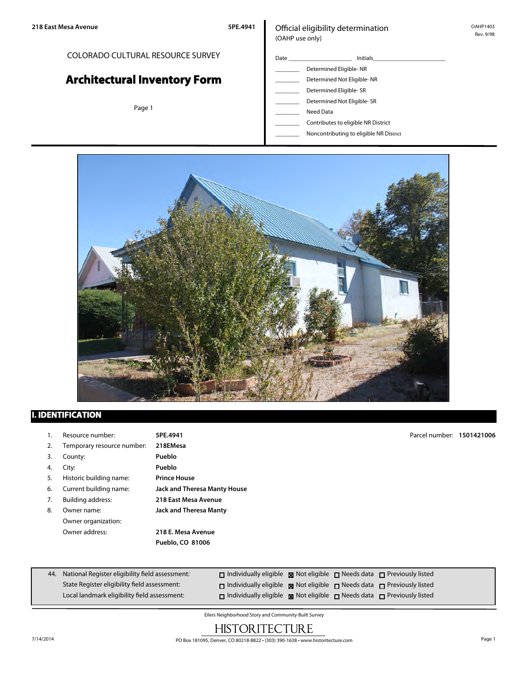## COLORADO CULTURAL RESOURCE SURVEY

# **Architectural Inventory Form**

Page 1

## Official eligibility determination (OAHP use only)

| Date | <b>Initials</b>            |  |  |
|------|----------------------------|--|--|
|      | Determined Eligible-NR     |  |  |
|      | Determined Not Eligible-NR |  |  |
|      | Determined Eligible- SR    |  |  |
|      | Determined Not Eligible-SR |  |  |

- Need Data
- \_\_\_\_\_\_\_\_ Contributes to eligible NR District
- \_\_\_\_\_\_\_\_ Noncontributing to eligible NR District



# **I. IDENTIFICATION**

|    | Resource number:           | 5PE.4941                      | Parcel number: 1501421006 |  |
|----|----------------------------|-------------------------------|---------------------------|--|
| 2. | Temporary resource number: | 218EMesa                      |                           |  |
| 3. | County:                    | Pueblo                        |                           |  |
| 4. | City:                      | Pueblo                        |                           |  |
| 5. | Historic building name:    | <b>Prince House</b>           |                           |  |
| 6. | Current building name:     | Jack and Theresa Manty House  |                           |  |
| 7. | <b>Building address:</b>   | 218 East Mesa Avenue          |                           |  |
| 8. | Owner name:                | <b>Jack and Theresa Manty</b> |                           |  |
|    | Owner organization:        |                               |                           |  |
|    | Owner address:             | 218 E. Mesa Avenue            |                           |  |
|    |                            | Pueblo, CO 81006              |                           |  |
|    |                            |                               |                           |  |
|    |                            |                               |                           |  |

| 44. National Register eligibility field assessment: | $\Box$ Individually eligible $\boxtimes$ Not eligible $\Box$ Needs data $\Box$ Previously listed |  |
|-----------------------------------------------------|--------------------------------------------------------------------------------------------------|--|
| State Register eligibility field assessment:        | $\Box$ Individually eligible $\boxtimes$ Not eligible $\Box$ Needs data $\Box$ Previously listed |  |
| Local landmark eligibility field assessment:        | $\Box$ Individually eligible $\boxtimes$ Not eligible $\Box$ Needs data $\Box$ Previously listed |  |

Eilers Neighborhood Story and Community-Built Survey

# **HISTORITECTURE**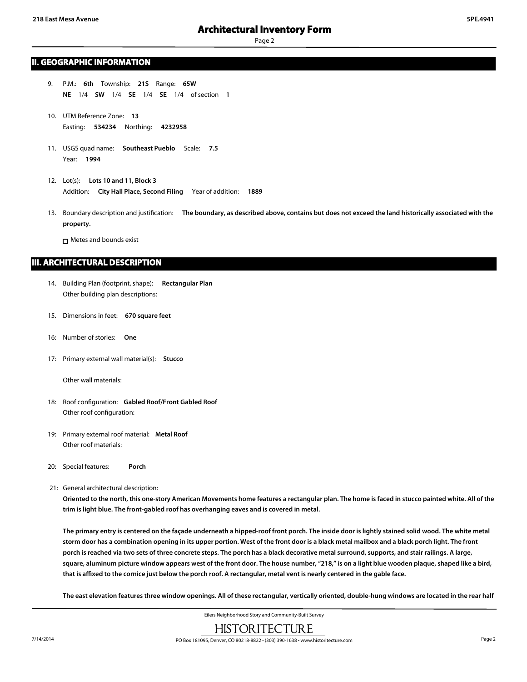### **II. GEOGRAPHIC INFORMATION**

- 9. P.M.: **6th** Township: **21S** Range: **65W NE** 1/4 **SW** 1/4 **SE** 1/4 **SE** 1/4 of section **1**
- 10. UTM Reference Zone: **13** Easting: **534234** Northing: **4232958**
- 11. USGS quad name: **Southeast Pueblo** Scale: **7.5** Year: **1994**
- 12. Lot(s): **Lots 10 and 11, Block 3** Addition: **City Hall Place, Second Filing** Year of addition: **1889**
- 13. Boundary description and justification: **The boundary, as described above, contains but does not exceed the land historically associated with the property.**

□ Metes and bounds exist

### **III. ARCHITECTURAL DESCRIPTION**

- 14. Building Plan (footprint, shape): **Rectangular Plan** Other building plan descriptions:
- 15. Dimensions in feet: **670 square feet**
- 16: Number of stories: **One**
- 17: Primary external wall material(s): **Stucco**

Other wall materials:

- 18: Roof configuration: **Gabled Roof/Front Gabled Roof** Other roof configuration:
- 19: Primary external roof material: **Metal Roof** Other roof materials:
- 20: Special features: **Porch**
- 21: General architectural description:

**Oriented to the north, this one-story American Movements home features a rectangular plan. The home is faced in stucco painted white. All of the trim is light blue. The front-gabled roof has overhanging eaves and is covered in metal.**

**The primary entry is centered on the façade underneath a hipped-roof front porch. The inside door is lightly stained solid wood. The white metal storm door has a combination opening in its upper portion. West of the front door is a black metal mailbox and a black porch light. The front porch is reached via two sets of three concrete steps. The porch has a black decorative metal surround, supports, and stair railings. A large, square, aluminum picture window appears west of the front door. The house number, "218," is on a light blue wooden plaque, shaped like a bird, that is affixed to the cornice just below the porch roof. A rectangular, metal vent is nearly centered in the gable face.**

**The east elevation features three window openings. All of these rectangular, vertically oriented, double-hung windows are located in the rear half**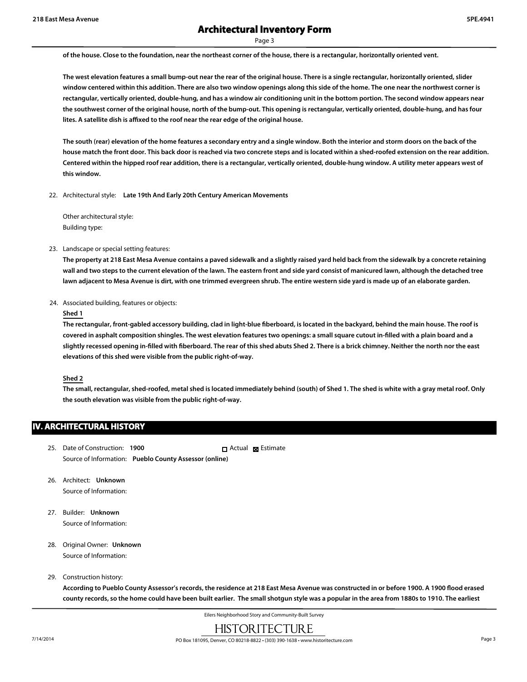# **Architectural Inventory Form**

Page 3

**of the house. Close to the foundation, near the northeast corner of the house, there is a rectangular, horizontally oriented vent.**

**The west elevation features a small bump-out near the rear of the original house. There is a single rectangular, horizontally oriented, slider window centered within this addition. There are also two window openings along this side of the home. The one near the northwest corner is rectangular, vertically oriented, double-hung, and has a window air conditioning unit in the bottom portion. The second window appears near the southwest corner of the original house, north of the bump-out. This opening is rectangular, vertically oriented, double-hung, and has four lites. A satellite dish is affixed to the roof near the rear edge of the original house.**

**The south (rear) elevation of the home features a secondary entry and a single window. Both the interior and storm doors on the back of the house match the front door. This back door is reached via two concrete steps and is located within a shed-roofed extension on the rear addition. Centered within the hipped roof rear addition, there is a rectangular, vertically oriented, double-hung window. A utility meter appears west of this window.**

22. Architectural style: **Late 19th And Early 20th Century American Movements**

Other architectural style: Building type:

23. Landscape or special setting features:

**The property at 218 East Mesa Avenue contains a paved sidewalk and a slightly raised yard held back from the sidewalk by a concrete retaining wall and two steps to the current elevation of the lawn. The eastern front and side yard consist of manicured lawn, although the detached tree lawn adjacent to Mesa Avenue is dirt, with one trimmed evergreen shrub. The entire western side yard is made up of an elaborate garden.**

24. Associated building, features or objects:

#### **Shed 1**

**The rectangular, front-gabled accessory building, clad in light-blue fiberboard, is located in the backyard, behind the main house. The roof is covered in asphalt composition shingles. The west elevation features two openings: a small square cutout in-filled with a plain board and a slightly recessed opening in-filled with fiberboard. The rear of this shed abuts Shed 2. There is a brick chimney. Neither the north nor the east elevations of this shed were visible from the public right-of-way.**

#### **Shed 2**

**The small, rectangular, shed-roofed, metal shed is located immediately behind (south) of Shed 1. The shed is white with a gray metal roof. Only the south elevation was visible from the public right-of-way.**

## **IV. ARCHITECTURAL HISTORY**

- 25. Date of Construction: **1900** Source of Information: **Pueblo County Assessor (online)** Actual **x** Estimate
- 26. Architect: **Unknown** Source of Information:
- 27. Builder: **Unknown** Source of Information:
- 28. Original Owner: **Unknown** Source of Information:
- 29. Construction history:

**According to Pueblo County Assessor's records, the residence at 218 East Mesa Avenue was constructed in or before 1900. A 1900 flood erased county records, so the home could have been built earlier. The small shotgun style was a popular in the area from 1880s to 1910. The earliest**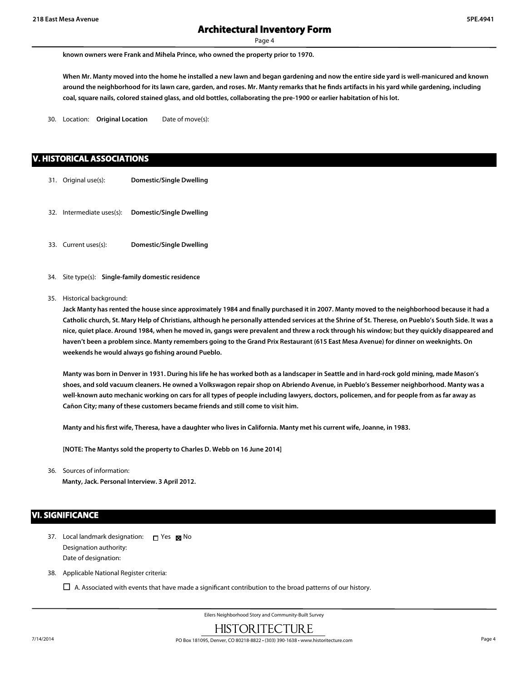**known owners were Frank and Mihela Prince, who owned the property prior to 1970.**

**When Mr. Manty moved into the home he installed a new lawn and began gardening and now the entire side yard is well-manicured and known around the neighborhood for its lawn care, garden, and roses. Mr. Manty remarks that he finds artifacts in his yard while gardening, including coal, square nails, colored stained glass, and old bottles, collaborating the pre-1900 or earlier habitation of his lot.**

30. Location: **Original Location** Date of move(s):

## **V. HISTORICAL ASSOCIATIONS**

- 31. Original use(s): **Domestic/Single Dwelling**
- 32. Intermediate uses(s): **Domestic/Single Dwelling**
- 33. Current uses(s): **Domestic/Single Dwelling**
- 34. Site type(s): **Single-family domestic residence**
- 35. Historical background:

**Jack Manty has rented the house since approximately 1984 and finally purchased it in 2007. Manty moved to the neighborhood because it had a Catholic church, St. Mary Help of Christians, although he personally attended services at the Shrine of St. Therese, on Pueblo's South Side. It was a nice, quiet place. Around 1984, when he moved in, gangs were prevalent and threw a rock through his window; but they quickly disappeared and haven't been a problem since. Manty remembers going to the Grand Prix Restaurant (615 East Mesa Avenue) for dinner on weeknights. On weekends he would always go fishing around Pueblo.**

**Manty was born in Denver in 1931. During his life he has worked both as a landscaper in Seattle and in hard-rock gold mining, made Mason's shoes, and sold vacuum cleaners. He owned a Volkswagon repair shop on Abriendo Avenue, in Pueblo's Bessemer neighborhood. Manty was a well-known auto mechanic working on cars for all types of people including lawyers, doctors, policemen, and for people from as far away as Cañon City; many of these customers became friends and still come to visit him.**

**Manty and his first wife, Theresa, have a daughter who lives in California. Manty met his current wife, Joanne, in 1983.**

**[NOTE: The Mantys sold the property to Charles D. Webb on 16 June 2014]**

36. Sources of information: **Manty, Jack. Personal Interview. 3 April 2012.**

## **VI. SIGNIFICANCE**

- 37. Local landmark designation: Designation authority: Date of designation: **□** Yes ⊠ No
- 38. Applicable National Register criteria:

 $\Box$  A. Associated with events that have made a significant contribution to the broad patterns of our history.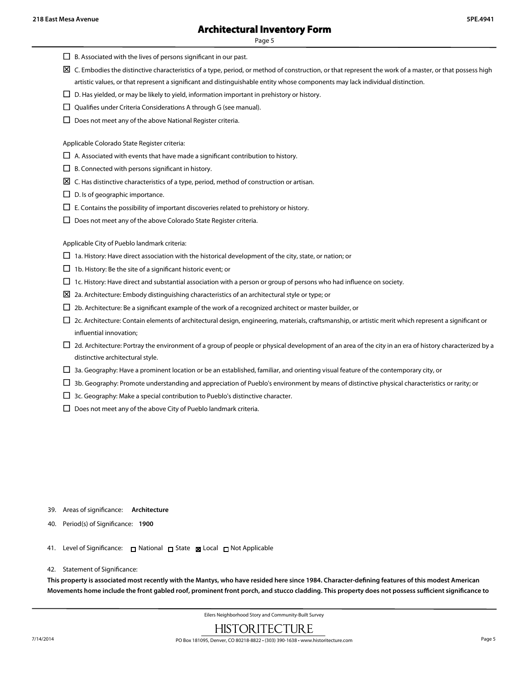- $\Box$  B. Associated with the lives of persons significant in our past.
- $\boxtimes$  C. Embodies the distinctive characteristics of a type, period, or method of construction, or that represent the work of a master, or that possess high artistic values, or that represent a significant and distinguishable entity whose components may lack individual distinction.
- $\square$  D. Has yielded, or may be likely to yield, information important in prehistory or history.
- $\square$  Qualifies under Criteria Considerations A through G (see manual).
- $\square$  Does not meet any of the above National Register criteria.

Applicable Colorado State Register criteria:

- $\Box$  A. Associated with events that have made a significant contribution to history.
- $\square$  B. Connected with persons significant in history.
- $\Sigma$  C. Has distinctive characteristics of a type, period, method of construction or artisan.
- $\square$  D. Is of geographic importance.
- $\Box$  E. Contains the possibility of important discoveries related to prehistory or history.
- $\square$  Does not meet any of the above Colorado State Register criteria.

Applicable City of Pueblo landmark criteria:

- $\Box$  1a. History: Have direct association with the historical development of the city, state, or nation; or
- $\square$  1b. History: Be the site of a significant historic event; or
- $\Box$  1c. History: Have direct and substantial association with a person or group of persons who had influence on society.
- $\boxtimes$  2a. Architecture: Embody distinguishing characteristics of an architectural style or type; or
- $\Box$  2b. Architecture: Be a significant example of the work of a recognized architect or master builder, or
- $\Box$  2c. Architecture: Contain elements of architectural design, engineering, materials, craftsmanship, or artistic merit which represent a significant or influential innovation;
- $\Box$  2d. Architecture: Portray the environment of a group of people or physical development of an area of the city in an era of history characterized by a distinctive architectural style.
- $\Box$  3a. Geography: Have a prominent location or be an established, familiar, and orienting visual feature of the contemporary city, or
- $\Box$  3b. Geography: Promote understanding and appreciation of Pueblo's environment by means of distinctive physical characteristics or rarity; or
- $\Box$  3c. Geography: Make a special contribution to Pueblo's distinctive character.
- $\square$  Does not meet any of the above City of Pueblo landmark criteria.

- 39. Areas of significance: **Architecture**
- 40. Period(s) of Significance: **1900**
- 41. Level of Significance: □ National □ State Local □ Not Applicable
- 42. Statement of Significance:

**This property is associated most recently with the Mantys, who have resided here since 1984. Character-defining features of this modest American Movements home include the front gabled roof, prominent front porch, and stucco cladding. This property does not possess sufficient significance to**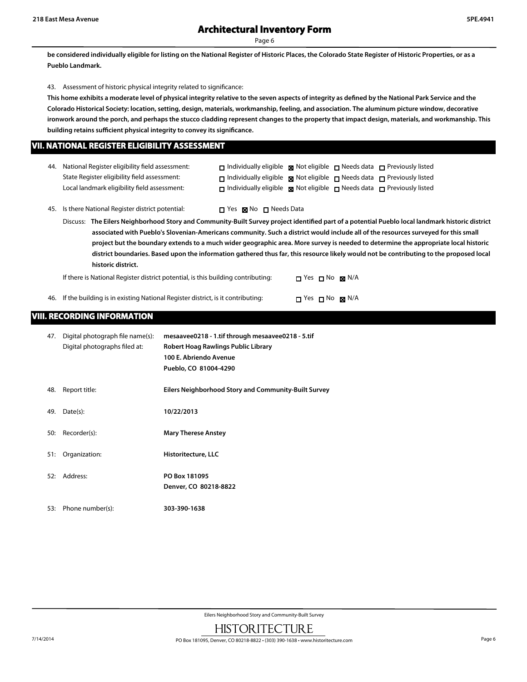**be considered individually eligible for listing on the National Register of Historic Places, the Colorado State Register of Historic Properties, or as a Pueblo Landmark.**

43. Assessment of historic physical integrity related to significance:

**This home exhibits a moderate level of physical integrity relative to the seven aspects of integrity as defined by the National Park Service and the Colorado Historical Society: location, setting, design, materials, workmanship, feeling, and association. The aluminum picture window, decorative ironwork around the porch, and perhaps the stucco cladding represent changes to the property that impact design, materials, and workmanship. This building retains sufficient physical integrity to convey its significance.**

## **VII. NATIONAL REGISTER ELIGIBILITY ASSESSMENT**

| 44. National Register eligibility field assessment: | $\Box$ Individually eligible $\Box$ Not eligible $\Box$ Needs data $\Box$ Previously listed      |  |  |
|-----------------------------------------------------|--------------------------------------------------------------------------------------------------|--|--|
| State Register eligibility field assessment:        | $\Box$ Individually eligible $\boxtimes$ Not eligible $\Box$ Needs data $\Box$ Previously listed |  |  |
| Local landmark eligibility field assessment:        | $\Box$ Individually eligible $\boxtimes$ Not eligible $\Box$ Needs data $\Box$ Previously listed |  |  |

45. Is there National Register district potential:  $\Box$  Yes  $\boxtimes$  No  $\Box$  Needs Data

Discuss: **The Eilers Neighborhood Story and Community-Built Survey project identified part of a potential Pueblo local landmark historic district associated with Pueblo's Slovenian-Americans community. Such a district would include all of the resources surveyed for this small project but the boundary extends to a much wider geographic area. More survey is needed to determine the appropriate local historic district boundaries. Based upon the information gathered thus far, this resource likely would not be contributing to the proposed local historic district.**

If there is National Register district potential, is this building contributing:  $\Box$  Yes  $\Box$  No  $\boxtimes$  N/A

46. If the building is in existing National Register district, is it contributing:  $\Box$  Yes  $\Box$  No  $\boxtimes$  N/A

## **VIII. RECORDING INFORMATION**

| 47. | Digital photograph file name(s):<br>Digital photographs filed at: | mesaavee0218 - 1.tif through mesaavee0218 - 5.tif<br>Robert Hoag Rawlings Public Library<br>100 E. Abriendo Avenue<br>Pueblo, CO 81004-4290 |
|-----|-------------------------------------------------------------------|---------------------------------------------------------------------------------------------------------------------------------------------|
| 48. | Report title:                                                     | Eilers Neighborhood Story and Community-Built Survey                                                                                        |
| 49. | Date(s):                                                          | 10/22/2013                                                                                                                                  |
| 50: | Recorder(s):                                                      | <b>Mary Therese Anstey</b>                                                                                                                  |
| 51: | Organization:                                                     | Historitecture, LLC                                                                                                                         |
| 52: | Address:                                                          | PO Box 181095<br>Denver, CO 80218-8822                                                                                                      |
| 53: | Phone number(s):                                                  | 303-390-1638                                                                                                                                |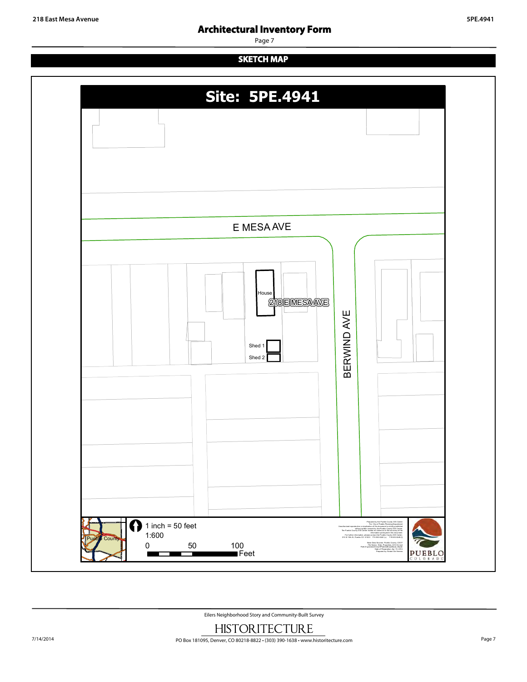# **Architectural Inventory Form**

Page 7

# **SKETCH MAP**



Eilers Neighborhood Story and Community-Built Survey

■Feet

г

Ŧ

File Name: Eiler\_Properties\_041414.mxd Path:S:\gis\robert\CityOfPueblo\Broadhead\_Wade\ Date of Preparation: Apr 15, 2014 Prepared by: Robert De Herrera

PUEBLO